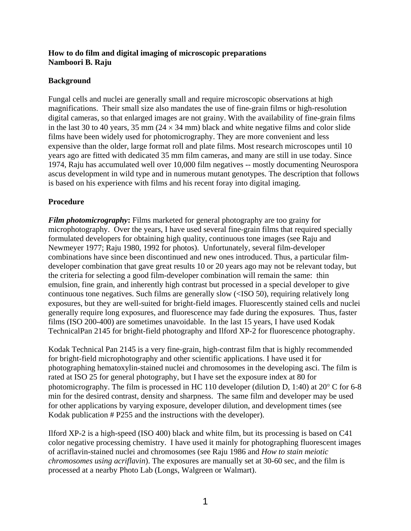## **How to do film and digital imaging of microscopic preparations Namboori B. Raju**

## **Background**

Fungal cells and nuclei are generally small and require microscopic observations at high magnifications. Their small size also mandates the use of fine-grain films or high-resolution digital cameras, so that enlarged images are not grainy. With the availability of fine-grain films in the last 30 to 40 years, 35 mm ( $24 \times 34$  mm) black and white negative films and color slide films have been widely used for photomicrography. They are more convenient and less expensive than the older, large format roll and plate films. Most research microscopes until 10 years ago are fitted with dedicated 35 mm film cameras, and many are still in use today. Since 1974, Raju has accumulated well over 10,000 film negatives -- mostly documenting Neurospora ascus development in wild type and in numerous mutant genotypes. The description that follows is based on his experience with films and his recent foray into digital imaging.

## **Procedure**

*Film photomicrography***:** Films marketed for general photography are too grainy for microphotography. Over the years, I have used several fine-grain films that required specially formulated developers for obtaining high quality, continuous tone images (see Raju and Newmeyer 1977; Raju 1980, 1992 for photos). Unfortunately, several film-developer combinations have since been discontinued and new ones introduced. Thus, a particular filmdeveloper combination that gave great results 10 or 20 years ago may not be relevant today, but the criteria for selecting a good film-developer combination will remain the same: thin emulsion, fine grain, and inherently high contrast but processed in a special developer to give continuous tone negatives. Such films are generally slow (<ISO 50), requiring relatively long exposures, but they are well-suited for bright-field images. Fluorescently stained cells and nuclei generally require long exposures, and fluorescence may fade during the exposures. Thus, faster films (ISO 200-400) are sometimes unavoidable. In the last 15 years, I have used Kodak TechnicalPan 2145 for bright-field photography and Ilford XP-2 for fluorescence photography.

Kodak Technical Pan 2145 is a very fine-grain, high-contrast film that is highly recommended for bright-field microphotography and other scientific applications. I have used it for photographing hematoxylin-stained nuclei and chromosomes in the developing asci. The film is rated at ISO 25 for general photography, but I have set the exposure index at 80 for photomicrography. The film is processed in HC 110 developer (dilution D, 1:40) at 20° C for 6-8 min for the desired contrast, density and sharpness. The same film and developer may be used for other applications by varying exposure, developer dilution, and development times (see Kodak publication # P255 and the instructions with the developer).

Ilford XP-2 is a high-speed (ISO 400) black and white film, but its processing is based on C41 color negative processing chemistry. I have used it mainly for photographing fluorescent images of acriflavin-stained nuclei and chromosomes (see Raju 1986 and *How to stain meiotic chromosomes using acriflavin*). The exposures are manually set at 30-60 sec, and the film is processed at a nearby Photo Lab (Longs, Walgreen or Walmart).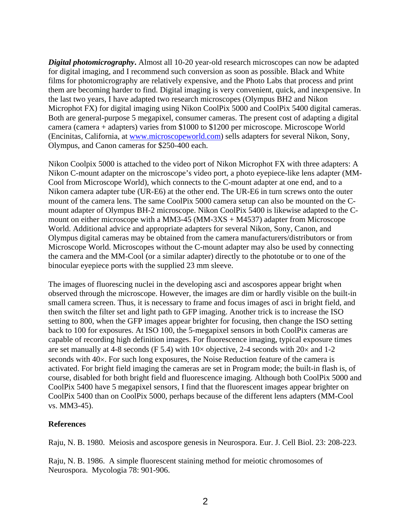*Digital photomicrography*. Almost all 10-20 year-old research microscopes can now be adapted for digital imaging, and I recommend such conversion as soon as possible. Black and White films for photomicrography are relatively expensive, and the Photo Labs that process and print them are becoming harder to find. Digital imaging is very convenient, quick, and inexpensive. In the last two years, I have adapted two research microscopes (Olympus BH2 and Nikon Microphot FX) for digital imaging using Nikon CoolPix 5000 and CoolPix 5400 digital cameras. Both are general-purpose 5 megapixel, consumer cameras. The present cost of adapting a digital camera (camera + adapters) varies from \$1000 to \$1200 per microscope. Microscope World (Encinitas, California, at [www.microscopeworld.com\)](http://www.microscopeworld.com/) sells adapters for several Nikon, Sony, Olympus, and Canon cameras for \$250-400 each.

Nikon Coolpix 5000 is attached to the video port of Nikon Microphot FX with three adapters: A Nikon C-mount adapter on the microscope's video port, a photo eyepiece-like lens adapter (MM-Cool from Microscope World), which connects to the C-mount adapter at one end, and to a Nikon camera adapter tube (UR-E6) at the other end. The UR-E6 in turn screws onto the outer mount of the camera lens. The same CoolPix 5000 camera setup can also be mounted on the Cmount adapter of Olympus BH-2 microscope. Nikon CoolPix 5400 is likewise adapted to the Cmount on either microscope with a MM3-45 (MM-3XS + M4537) adapter from Microscope World. Additional advice and appropriate adapters for several Nikon, Sony, Canon, and Olympus digital cameras may be obtained from the camera manufacturers/distributors or from Microscope World. Microscopes without the C-mount adapter may also be used by connecting the camera and the MM-Cool (or a similar adapter) directly to the phototube or to one of the binocular eyepiece ports with the supplied 23 mm sleeve.

The images of fluorescing nuclei in the developing asci and ascospores appear bright when observed through the microscope. However, the images are dim or hardly visible on the built-in small camera screen. Thus, it is necessary to frame and focus images of asci in bright field, and then switch the filter set and light path to GFP imaging. Another trick is to increase the ISO setting to 800, when the GFP images appear brighter for focusing, then change the ISO setting back to 100 for exposures. At ISO 100, the 5-megapixel sensors in both CoolPix cameras are capable of recording high definition images. For fluorescence imaging, typical exposure times are set manually at 4-8 seconds (F 5.4) with  $10\times$  objective, 2-4 seconds with  $20\times$  and 1-2 seconds with 40×. For such long exposures, the Noise Reduction feature of the camera is activated. For bright field imaging the cameras are set in Program mode; the built-in flash is, of course, disabled for both bright field and fluorescence imaging. Although both CoolPix 5000 and CoolPix 5400 have 5 megapixel sensors, I find that the fluorescent images appear brighter on CoolPix 5400 than on CoolPix 5000, perhaps because of the different lens adapters (MM-Cool vs. MM3-45).

## **References**

Raju, N. B. 1980. Meiosis and ascospore genesis in Neurospora. Eur. J. Cell Biol. 23: 208-223.

Raju, N. B. 1986. A simple fluorescent staining method for meiotic chromosomes of Neurospora. Mycologia 78: 901-906.